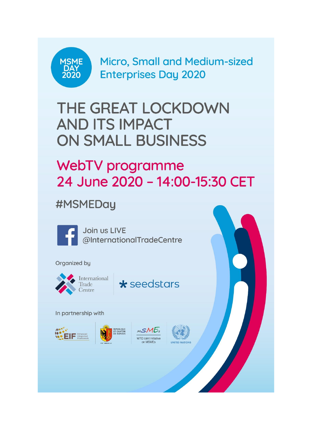

**Micro, Small and Medium-sized Enterprises Day 2020** 

# THE GREAT LOCKDOWN **AND ITS IMPACT ON SMALL BUSINESS**

## WebTV programme 24 June 2020 - 14:00-15:30 CET

### #MSMEDay



Join us LIVE @InternationalTradeCentre

#### Organized by



International Trade Centre



#### In partnership with





MSME: WTO Joint Initiative on MSMFs